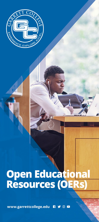

## **Open Educational<br>Resources (OERs)**

www.garrettcollege.edu RYOD